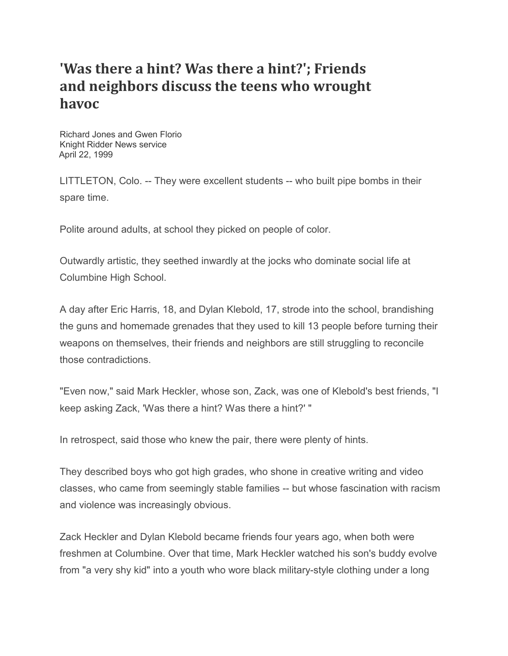## **'Was there a hint? Was there a hint?'; Friends and neighbors discuss the teens who wrought havoc**

Richard Jones and Gwen Florio Knight Ridder News service April 22, 1999

LITTLETON, Colo. -- They were excellent students -- who built pipe bombs in their spare time.

Polite around adults, at school they picked on people of color.

Outwardly artistic, they seethed inwardly at the jocks who dominate social life at Columbine High School.

A day after Eric Harris, 18, and Dylan Klebold, 17, strode into the school, brandishing the guns and homemade grenades that they used to kill 13 people before turning their weapons on themselves, their friends and neighbors are still struggling to reconcile those contradictions.

"Even now," said Mark Heckler, whose son, Zack, was one of Klebold's best friends, "I keep asking Zack, 'Was there a hint? Was there a hint?' "

In retrospect, said those who knew the pair, there were plenty of hints.

They described boys who got high grades, who shone in creative writing and video classes, who came from seemingly stable families -- but whose fascination with racism and violence was increasingly obvious.

Zack Heckler and Dylan Klebold became friends four years ago, when both were freshmen at Columbine. Over that time, Mark Heckler watched his son's buddy evolve from "a very shy kid" into a youth who wore black military-style clothing under a long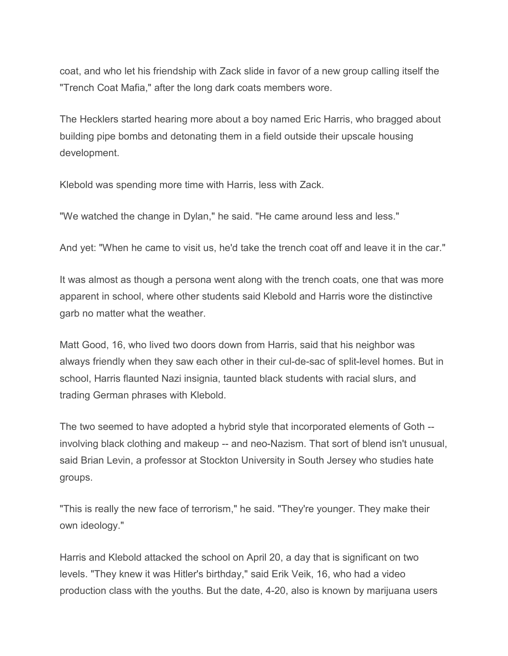coat, and who let his friendship with Zack slide in favor of a new group calling itself the "Trench Coat Mafia," after the long dark coats members wore.

The Hecklers started hearing more about a boy named Eric Harris, who bragged about building pipe bombs and detonating them in a field outside their upscale housing development.

Klebold was spending more time with Harris, less with Zack.

"We watched the change in Dylan," he said. "He came around less and less."

And yet: "When he came to visit us, he'd take the trench coat off and leave it in the car."

It was almost as though a persona went along with the trench coats, one that was more apparent in school, where other students said Klebold and Harris wore the distinctive garb no matter what the weather.

Matt Good, 16, who lived two doors down from Harris, said that his neighbor was always friendly when they saw each other in their cul-de-sac of split-level homes. But in school, Harris flaunted Nazi insignia, taunted black students with racial slurs, and trading German phrases with Klebold.

The two seemed to have adopted a hybrid style that incorporated elements of Goth - involving black clothing and makeup -- and neo-Nazism. That sort of blend isn't unusual, said Brian Levin, a professor at Stockton University in South Jersey who studies hate groups.

"This is really the new face of terrorism," he said. "They're younger. They make their own ideology."

Harris and Klebold attacked the school on April 20, a day that is significant on two levels. "They knew it was Hitler's birthday," said Erik Veik, 16, who had a video production class with the youths. But the date, 4-20, also is known by marijuana users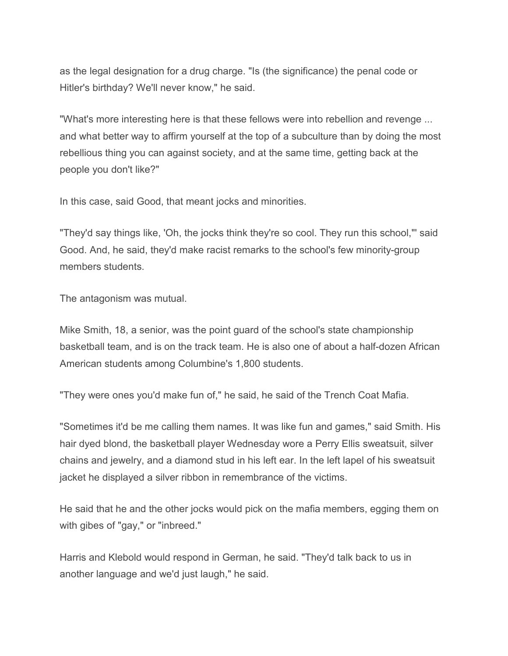as the legal designation for a drug charge. "Is (the significance) the penal code or Hitler's birthday? We'll never know," he said.

"What's more interesting here is that these fellows were into rebellion and revenge ... and what better way to affirm yourself at the top of a subculture than by doing the most rebellious thing you can against society, and at the same time, getting back at the people you don't like?"

In this case, said Good, that meant jocks and minorities.

"They'd say things like, 'Oh, the jocks think they're so cool. They run this school,"' said Good. And, he said, they'd make racist remarks to the school's few minority-group members students.

The antagonism was mutual.

Mike Smith, 18, a senior, was the point guard of the school's state championship basketball team, and is on the track team. He is also one of about a half-dozen African American students among Columbine's 1,800 students.

"They were ones you'd make fun of," he said, he said of the Trench Coat Mafia.

"Sometimes it'd be me calling them names. It was like fun and games," said Smith. His hair dyed blond, the basketball player Wednesday wore a Perry Ellis sweatsuit, silver chains and jewelry, and a diamond stud in his left ear. In the left lapel of his sweatsuit jacket he displayed a silver ribbon in remembrance of the victims.

He said that he and the other jocks would pick on the mafia members, egging them on with gibes of "gay," or "inbreed."

Harris and Klebold would respond in German, he said. "They'd talk back to us in another language and we'd just laugh," he said.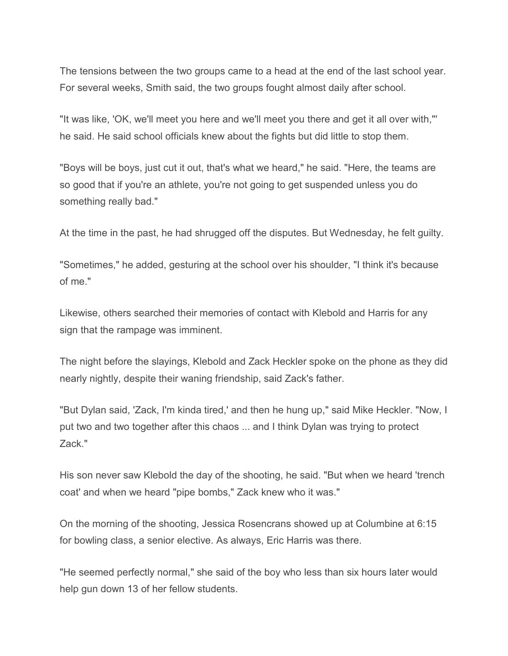The tensions between the two groups came to a head at the end of the last school year. For several weeks, Smith said, the two groups fought almost daily after school.

"It was like, 'OK, we'll meet you here and we'll meet you there and get it all over with,"' he said. He said school officials knew about the fights but did little to stop them.

"Boys will be boys, just cut it out, that's what we heard," he said. "Here, the teams are so good that if you're an athlete, you're not going to get suspended unless you do something really bad."

At the time in the past, he had shrugged off the disputes. But Wednesday, he felt guilty.

"Sometimes," he added, gesturing at the school over his shoulder, "I think it's because of me."

Likewise, others searched their memories of contact with Klebold and Harris for any sign that the rampage was imminent.

The night before the slayings, Klebold and Zack Heckler spoke on the phone as they did nearly nightly, despite their waning friendship, said Zack's father.

"But Dylan said, 'Zack, I'm kinda tired,' and then he hung up," said Mike Heckler. "Now, I put two and two together after this chaos ... and I think Dylan was trying to protect Zack."

His son never saw Klebold the day of the shooting, he said. "But when we heard 'trench coat' and when we heard "pipe bombs," Zack knew who it was."

On the morning of the shooting, Jessica Rosencrans showed up at Columbine at 6:15 for bowling class, a senior elective. As always, Eric Harris was there.

"He seemed perfectly normal," she said of the boy who less than six hours later would help gun down 13 of her fellow students.